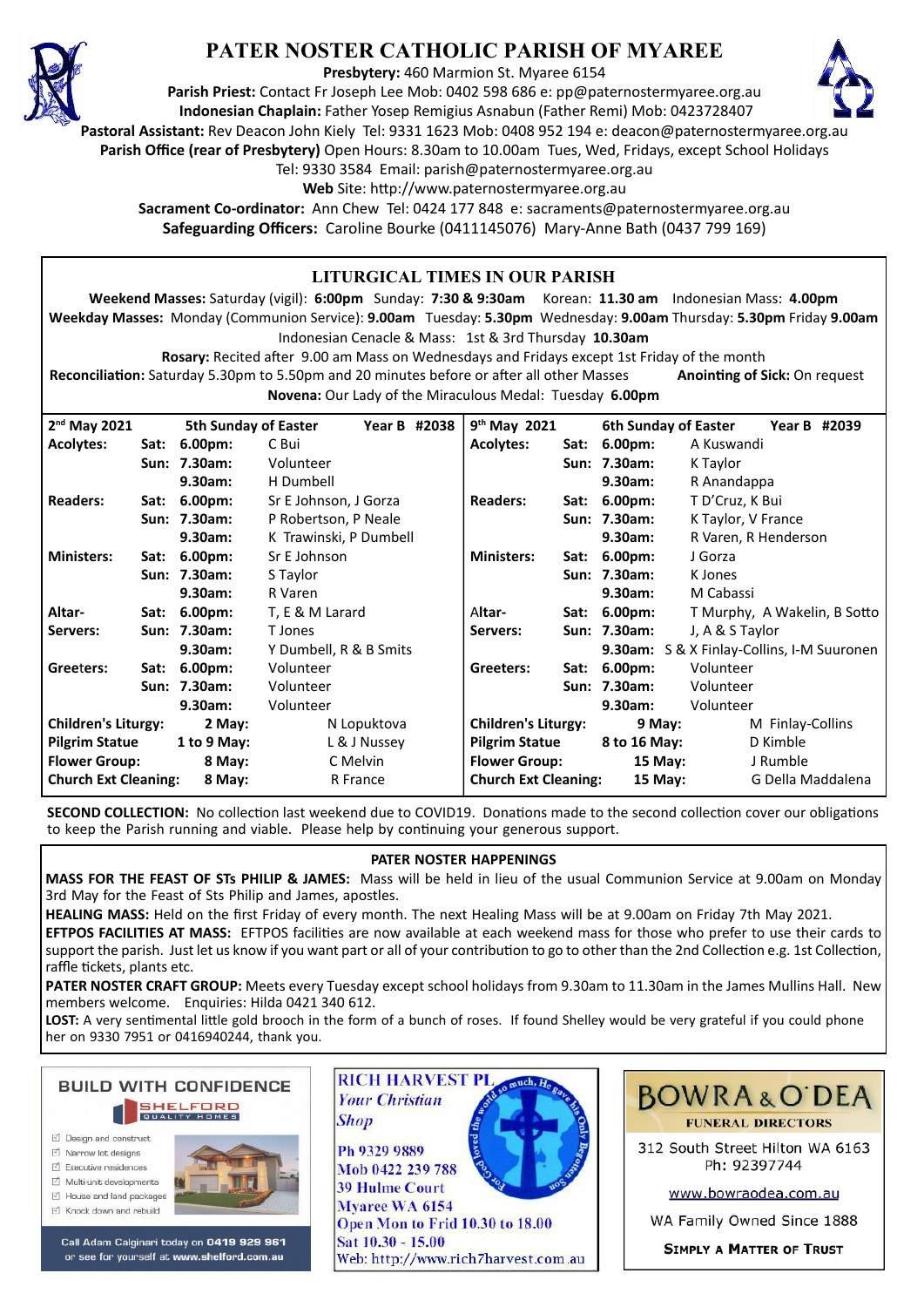

# **PATER NOSTER CATHOLIC PARISH OF MYAREE**

**Presbytery:** 460 Marmion St. Myaree 6154

**Parish Priest:** Contact Fr Joseph Lee Mob: 0402 598 686 e: pp@paternostermyaree.org.au **Indonesian Chaplain:** Father Yosep Remigius Asnabun (Father Remi) Mob: 0423728407



**Pastoral Assistant:** Rev Deacon John Kiely Tel: 9331 1623 Mob: 0408 952 194 e: deacon@paternostermyaree.org.au

**Parish Office (rear of Presbytery)** Open Hours: 8.30am to 10.00am Tues, Wed, Fridays, except School Holidays

Tel: 9330 3584 Email: parish@paternostermyaree.org.au

Web Site: http://www.paternostermyaree.org.au

**Sacrament Co-ordinator:** Ann Chew Tel: 0424 177 848 e: sacraments@paternostermyaree.org.au **Safeguarding Officers:** Caroline Bourke (0411145076) Mary-Anne Bath (0437 799 169)

#### **LITURGICAL TIMES IN OUR PARISH Weekend Masses:** Saturday (vigil): **6:00pm** Sunday: **7:30 & 9:30am** Korean: **11.30 am** Indonesian Mass: **4.00pm Weekday Masses:** Monday (Communion Service): **9.00am** Tuesday: **5.30pm** Wednesday: **9.00am** Thursday: **5.30pm** Friday **9.00am** Indonesian Cenacle & Mass: 1st & 3rd Thursday **10.30am Rosary:** Recited a�er 9.00 am Mass on Wednesdays and Fridays except 1st Friday of the month **Reconciliation:** Saturday 5.30pm to 5.50pm and 20 minutes before or after all other Masses **Anointing of Sick:** On request **Novena:** Our Lady of the Miraculous Medal: Tuesday **6.00pm** 9<sup>th</sup> May 2021 **th May 2021 6th Sunday of Easter Year B #2039 Acolytes: Sat: 6.00pm:** A Kuswandi Sun: 7.30am: K Taylor **9.30am:** R Anandappa **Readers: Sat: 6.00pm:** T D'Cruz, K Bui **Sun: 7.30am:** K Taylor, V France **9.30am:** R Varen, R Henderson **Ministers: Sat: 6.00pm:** J Gorza **Sun: 7.30am:** K Jones **9.30am:** M Cabassi Altar- Sat: 6.00pm: T Murphy, A Wakelin, B Sotto **Servers: Sun: 7.30am:** J, A & S Taylor **9.30am:** S & X Finlay-Collins, I-M Suuronen **Greeters: Sat: 6.00pm:** Volunteer **Sun: 7.30am:** Volunteer **9.30am:** Volunteer **Children's Liturgy:** 9 May: M Finlay-Collins **Pilgrim Statue 8 to 16 May:** D Kimble **Flower Group: 15 May:** J Rumble **Church Ext Cleaning: 15 May:** G Della Maddalena 2<sup>nd</sup> May 2021 **nd May 2021 5th Sunday of Easter Year B #2038 Acolytes: Sat: 6.00pm:** C Bui **Sun: 7.30am:** Volunteer **9.30am:** H Dumbell **Readers: Sat: 6.00pm:** Sr E Johnson, J Gorza **Sun: 7.30am:** P Robertson, P Neale **9.30am:** K Trawinski, P Dumbell **Ministers: Sat: 6.00pm:** Sr E Johnson **Sun: 7.30am:** S Taylor **9.30am:** R Varen **Altar- Sat: 6.00pm:** T, E & M Larard **Servers: Sun: 7.30am:** T Jones **9.30am:** Y Dumbell, R & B Smits **Gree**t**ers: Sat: 6.00pm:** Volunteer **Sun: 7.30am:** Volunteer **9.30am:** Volunteer **Children's Liturgy: 2 May:** N Lopuktova **Pilgrim Statue 1 to 9 May:** L & J Nussey **Flower Group: 8 May:** C Melvin **Church Ext Cleaning: 8 May:** R France

**SECOND COLLECTION:** No collection last weekend due to COVID19. Donations made to the second collection cover our obligations to keep the Parish running and viable. Please help by continuing your generous support.

#### **PATER NOSTER HAPPENINGS**

**MASS FOR THE FEAST OF STs PHILIP & JAMES:** Mass will be held in lieu of the usual Communion Service at 9.00am on Monday 3rd May for the Feast of Sts Philip and James, apostles.

**HEALING MASS:** Held on the first Friday of every month. The next Healing Mass will be at 9.00am on Friday 7th May 2021. **EFTPOS FACILITIES AT MASS:** EFTPOS facili�es are now available at each weekend mass for those who prefer to use their cards to

support the parish. Just let us know if you want part or all of your contribution to go to other than the 2nd Collection e.g. 1st Collection, raffle tickets, plants etc.

**PATER NOSTER CRAFT GROUP:** Meets every Tuesday except school holidays from 9.30am to 11.30am in the James Mullins Hall. New members welcome. Enquiries: Hilda 0421 340 612.

LOST: A very sentimental little gold brooch in the form of a bunch of roses. If found Shelley would be very grateful if you could phone her on 9330 7951 or 0416940244, thank you.



- $\triangledown$  Narrow lot designe
- $\triangledown$  Executive residences
- $\overrightarrow{2}$  Multi-unit developments
- M House and land packages
- ☑ Knock down and rebuild



Call Adam Calginari today on 0419 929 961 or see for yourself at www.shelford.com.au



Ph 9329 9889 Mob 0422 239 788 **39 Hulme Court** Mvaree WA 6154 Open Mon to Frid 10.30 to 18.00 Sat 10.30 - 15.00 Web: http://www.rich7harvest.com.au

**Shop** 



312 South Street Hilton WA 6163 Ph: 92397744

www.bowraodea.com.au

WA Family Owned Since 1888

**SIMPLY A MATTER OF TRUST**